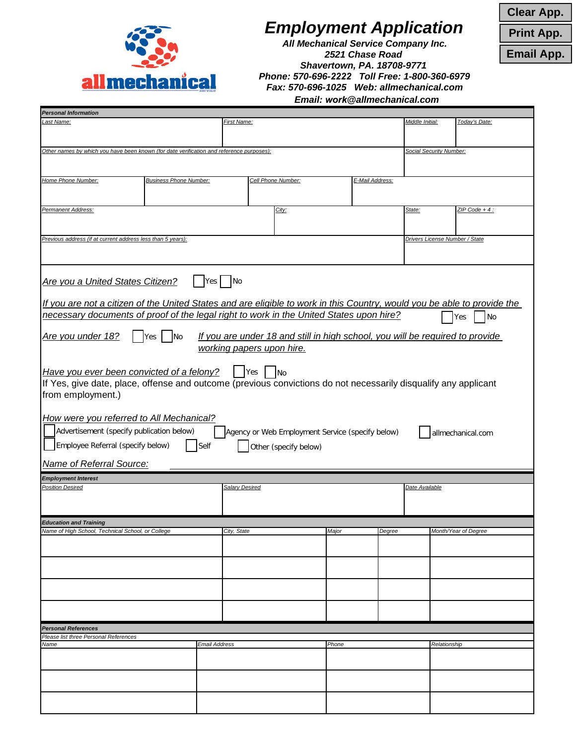

## *Employment Application*

*All Mechanical Service Company Inc. 2521 Chase Road Shavertown, PA. 18708-9771 Phone: 570-696-2222 Toll Free: 1-800-360-6979 Fax: 570-696-1025 Web: allmechanical.com*

**Clear App.**

**Print App.**

**Email App.**

*Email: work@allmechanical.com*

| First Name:<br>Middle Initial:<br>Last Name:<br><b>Social Security Number:</b><br>Other names by which you have been known (for date verification and reference purposes):<br>Home Phone Number:<br><b>Business Phone Number:</b><br>Cell Phone Number:<br>E-Mail Address:<br>Permanent Address:<br>City:<br>State: | Today's Date:  |  |  |  |  |  |  |
|---------------------------------------------------------------------------------------------------------------------------------------------------------------------------------------------------------------------------------------------------------------------------------------------------------------------|----------------|--|--|--|--|--|--|
|                                                                                                                                                                                                                                                                                                                     |                |  |  |  |  |  |  |
|                                                                                                                                                                                                                                                                                                                     |                |  |  |  |  |  |  |
|                                                                                                                                                                                                                                                                                                                     |                |  |  |  |  |  |  |
|                                                                                                                                                                                                                                                                                                                     |                |  |  |  |  |  |  |
|                                                                                                                                                                                                                                                                                                                     |                |  |  |  |  |  |  |
|                                                                                                                                                                                                                                                                                                                     |                |  |  |  |  |  |  |
|                                                                                                                                                                                                                                                                                                                     | ZIP Code + 4 : |  |  |  |  |  |  |
|                                                                                                                                                                                                                                                                                                                     |                |  |  |  |  |  |  |
| Previous address (if at current address less than 5 years):<br>Drivers License Number / State                                                                                                                                                                                                                       |                |  |  |  |  |  |  |
|                                                                                                                                                                                                                                                                                                                     |                |  |  |  |  |  |  |
|                                                                                                                                                                                                                                                                                                                     |                |  |  |  |  |  |  |
| Are you a United States Citizen?<br>N <sub>o</sub><br>Yes <sub>l</sub>                                                                                                                                                                                                                                              |                |  |  |  |  |  |  |
| If you are not a citizen of the United States and are eligible to work in this Country, would you be able to provide the                                                                                                                                                                                            |                |  |  |  |  |  |  |
| necessary documents of proof of the legal right to work in the United States upon hire?<br><b>Yes</b>                                                                                                                                                                                                               | No             |  |  |  |  |  |  |
|                                                                                                                                                                                                                                                                                                                     |                |  |  |  |  |  |  |
| Are you under 18?<br>If you are under 18 and still in high school, you will be required to provide<br>Yes No                                                                                                                                                                                                        |                |  |  |  |  |  |  |
| working papers upon hire.                                                                                                                                                                                                                                                                                           |                |  |  |  |  |  |  |
| Have you ever been convicted of a felony?<br>Yes<br>$\overline{\mathsf{No}}$                                                                                                                                                                                                                                        |                |  |  |  |  |  |  |
| If Yes, give date, place, offense and outcome (previous convictions do not necessarily disqualify any applicant                                                                                                                                                                                                     |                |  |  |  |  |  |  |
| from employment.)                                                                                                                                                                                                                                                                                                   |                |  |  |  |  |  |  |
|                                                                                                                                                                                                                                                                                                                     |                |  |  |  |  |  |  |
| <b>How were you referred to All Mechanical?</b>                                                                                                                                                                                                                                                                     |                |  |  |  |  |  |  |
| Advertisement (specify publication below)<br>Agency or Web Employment Service (specify below)<br>allmechanical.com                                                                                                                                                                                                  |                |  |  |  |  |  |  |
| Employee Referral (specify below)<br>Self<br>Other (specify below)                                                                                                                                                                                                                                                  |                |  |  |  |  |  |  |
| Name of Referral Source:                                                                                                                                                                                                                                                                                            |                |  |  |  |  |  |  |
| <b>Employment Interest</b>                                                                                                                                                                                                                                                                                          |                |  |  |  |  |  |  |
| <b>Position Desired</b><br>Salary Desired                                                                                                                                                                                                                                                                           | Date Available |  |  |  |  |  |  |
|                                                                                                                                                                                                                                                                                                                     |                |  |  |  |  |  |  |
| <b>Education and Training</b>                                                                                                                                                                                                                                                                                       |                |  |  |  |  |  |  |
| Name of High School, Technical School, or College<br>City, State<br>Maior<br>Month/Year of Degree<br>Dearee                                                                                                                                                                                                         |                |  |  |  |  |  |  |
|                                                                                                                                                                                                                                                                                                                     |                |  |  |  |  |  |  |
|                                                                                                                                                                                                                                                                                                                     |                |  |  |  |  |  |  |
|                                                                                                                                                                                                                                                                                                                     |                |  |  |  |  |  |  |
|                                                                                                                                                                                                                                                                                                                     |                |  |  |  |  |  |  |
|                                                                                                                                                                                                                                                                                                                     |                |  |  |  |  |  |  |
|                                                                                                                                                                                                                                                                                                                     |                |  |  |  |  |  |  |
| <b>Personal References</b>                                                                                                                                                                                                                                                                                          |                |  |  |  |  |  |  |
|                                                                                                                                                                                                                                                                                                                     |                |  |  |  |  |  |  |
| Please list three Personal References<br>Phone<br>Name<br>Email Address<br>Relationship                                                                                                                                                                                                                             |                |  |  |  |  |  |  |
|                                                                                                                                                                                                                                                                                                                     |                |  |  |  |  |  |  |
|                                                                                                                                                                                                                                                                                                                     |                |  |  |  |  |  |  |
|                                                                                                                                                                                                                                                                                                                     |                |  |  |  |  |  |  |
|                                                                                                                                                                                                                                                                                                                     |                |  |  |  |  |  |  |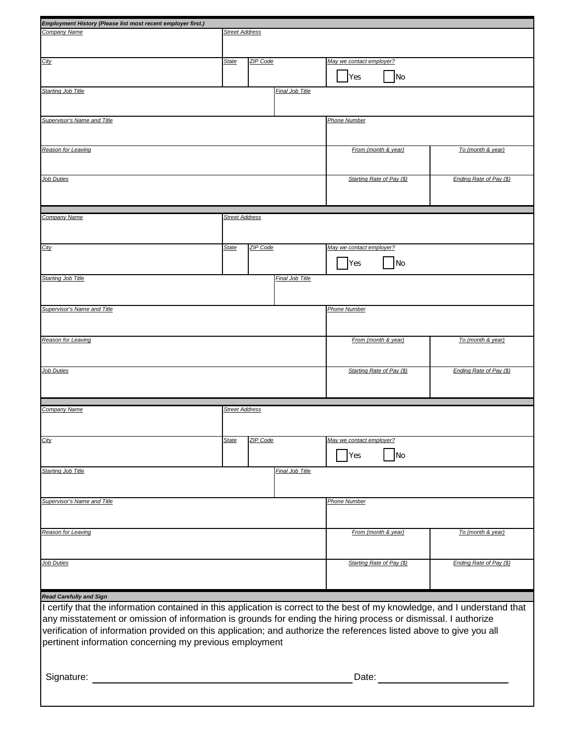| Employment History (Please list most recent employer first.)                                                               |                       |          |                        |                           |                           |                         |  |  |
|----------------------------------------------------------------------------------------------------------------------------|-----------------------|----------|------------------------|---------------------------|---------------------------|-------------------------|--|--|
| Company Name                                                                                                               | <b>Street Address</b> |          |                        |                           |                           |                         |  |  |
|                                                                                                                            |                       |          |                        |                           |                           |                         |  |  |
|                                                                                                                            |                       |          |                        |                           |                           |                         |  |  |
| City                                                                                                                       | <b>State</b>          | ZIP Code |                        | May we contact employer?  |                           |                         |  |  |
|                                                                                                                            |                       |          |                        |                           |                           |                         |  |  |
|                                                                                                                            |                       |          |                        | Yes                       | No                        |                         |  |  |
| <b>Starting Job Title</b>                                                                                                  |                       |          | <b>Final Job Title</b> |                           |                           |                         |  |  |
|                                                                                                                            |                       |          |                        |                           |                           |                         |  |  |
|                                                                                                                            |                       |          |                        |                           |                           |                         |  |  |
| Supervisor's Name and Title                                                                                                |                       |          |                        | <b>Phone Number</b>       |                           |                         |  |  |
|                                                                                                                            |                       |          |                        |                           |                           |                         |  |  |
|                                                                                                                            |                       |          |                        |                           |                           |                         |  |  |
| Reason for Leaving                                                                                                         |                       |          |                        | From (month & year)       |                           | To (month & year)       |  |  |
|                                                                                                                            |                       |          |                        |                           |                           |                         |  |  |
|                                                                                                                            |                       |          |                        |                           |                           |                         |  |  |
| <b>Job Duties</b>                                                                                                          |                       |          |                        |                           | Starting Rate of Pay (\$) | Ending Rate of Pay (\$) |  |  |
|                                                                                                                            |                       |          |                        |                           |                           |                         |  |  |
|                                                                                                                            |                       |          |                        |                           |                           |                         |  |  |
|                                                                                                                            |                       |          |                        |                           |                           |                         |  |  |
| Company Name                                                                                                               | <b>Street Address</b> |          |                        |                           |                           |                         |  |  |
|                                                                                                                            |                       |          |                        |                           |                           |                         |  |  |
|                                                                                                                            |                       |          |                        |                           |                           |                         |  |  |
| City                                                                                                                       | <b>State</b>          | ZIP Code |                        | May we contact employer?  |                           |                         |  |  |
|                                                                                                                            |                       |          |                        |                           |                           |                         |  |  |
|                                                                                                                            |                       |          |                        | <b>Yes</b>                | <b>No</b>                 |                         |  |  |
|                                                                                                                            |                       |          |                        |                           |                           |                         |  |  |
| <b>Starting Job Title</b>                                                                                                  |                       |          | Final Job Title        |                           |                           |                         |  |  |
|                                                                                                                            |                       |          |                        |                           |                           |                         |  |  |
|                                                                                                                            |                       |          |                        |                           |                           |                         |  |  |
| <b>Supervisor's Name and Title</b>                                                                                         |                       |          |                        | <b>Phone Number</b>       |                           |                         |  |  |
|                                                                                                                            |                       |          |                        |                           |                           |                         |  |  |
|                                                                                                                            |                       |          |                        |                           |                           |                         |  |  |
| Reason for Leaving                                                                                                         |                       |          |                        | From (month & year)       |                           | To (month & year)       |  |  |
|                                                                                                                            |                       |          |                        |                           |                           |                         |  |  |
|                                                                                                                            |                       |          |                        |                           |                           |                         |  |  |
| <b>Job Duties</b>                                                                                                          |                       |          |                        | Starting Rate of Pay (\$) |                           | Ending Rate of Pay (\$) |  |  |
|                                                                                                                            |                       |          |                        |                           |                           |                         |  |  |
|                                                                                                                            |                       |          |                        |                           |                           |                         |  |  |
|                                                                                                                            |                       |          |                        |                           |                           |                         |  |  |
| Company Name                                                                                                               | <b>Street Address</b> |          |                        |                           |                           |                         |  |  |
|                                                                                                                            |                       |          |                        |                           |                           |                         |  |  |
|                                                                                                                            |                       |          |                        |                           |                           |                         |  |  |
|                                                                                                                            |                       | ZIP Code |                        |                           |                           |                         |  |  |
| <u>City</u>                                                                                                                | State                 |          |                        | May we contact employer?  |                           |                         |  |  |
|                                                                                                                            |                       |          |                        | <b>Yes</b>                | No                        |                         |  |  |
|                                                                                                                            |                       |          |                        |                           |                           |                         |  |  |
| Starting Job Title<br>Final Job Title                                                                                      |                       |          |                        |                           |                           |                         |  |  |
|                                                                                                                            |                       |          |                        |                           |                           |                         |  |  |
|                                                                                                                            |                       |          |                        |                           |                           |                         |  |  |
| Supervisor's Name and Title                                                                                                |                       |          | Phone Number           |                           |                           |                         |  |  |
|                                                                                                                            |                       |          |                        |                           |                           |                         |  |  |
|                                                                                                                            |                       |          |                        |                           |                           |                         |  |  |
| Reason for Leaving                                                                                                         |                       |          |                        | From (month & year)       |                           | To (month & year)       |  |  |
|                                                                                                                            |                       |          |                        |                           |                           |                         |  |  |
|                                                                                                                            |                       |          |                        |                           |                           |                         |  |  |
| Job Duties                                                                                                                 |                       |          |                        | Starting Rate of Pay (\$) |                           | Ending Rate of Pay (\$) |  |  |
|                                                                                                                            |                       |          |                        |                           |                           |                         |  |  |
|                                                                                                                            |                       |          |                        |                           |                           |                         |  |  |
|                                                                                                                            |                       |          |                        |                           |                           |                         |  |  |
| <b>Read Carefully and Sign</b>                                                                                             |                       |          |                        |                           |                           |                         |  |  |
| I certify that the information contained in this application is correct to the best of my knowledge, and I understand that |                       |          |                        |                           |                           |                         |  |  |
| any misstatement or omission of information is grounds for ending the hiring process or dismissal. I authorize             |                       |          |                        |                           |                           |                         |  |  |
| verification of information provided on this application; and authorize the references listed above to give you all        |                       |          |                        |                           |                           |                         |  |  |
|                                                                                                                            |                       |          |                        |                           |                           |                         |  |  |
|                                                                                                                            |                       |          |                        |                           |                           |                         |  |  |
| pertinent information concerning my previous employment                                                                    |                       |          |                        |                           |                           |                         |  |  |
|                                                                                                                            |                       |          |                        |                           |                           |                         |  |  |
|                                                                                                                            |                       |          |                        |                           |                           |                         |  |  |
|                                                                                                                            |                       |          |                        |                           |                           |                         |  |  |
| Signature:                                                                                                                 |                       |          |                        | Date:                     |                           |                         |  |  |